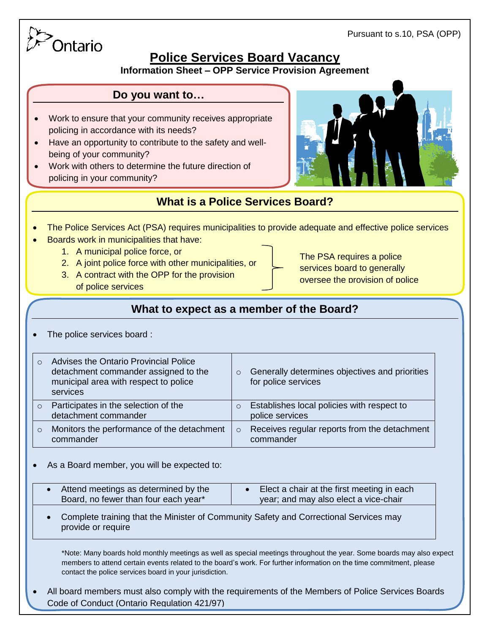Pursuant to s.10, PSA (OPP)

# Ontario

## **Police Services Board Vacancy**

**Information Sheet – OPP Service Provision Agreement**

#### **Do you want to…**

- Work to ensure that your community receives appropriate policing in accordance with its needs?
- Have an opportunity to contribute to the safety and wellbeing of your community?
- Work with others to determine the future direction of policing in your community?



## **What is a Police Services Board?**

- The Police Services Act (PSA) requires municipalities to provide adequate and effective police services
- Boards work in municipalities that have:
	- 1. A municipal police force, or
	- 2. A joint police force with other municipalities, or
	- 3. A contract with the OPP for the provision of police services

The PSA requires a police services board to generally oversee the provision of police

services<br>Services et al.

## **What to expect as a member of the Board?**

The police services board :

|          | Advises the Ontario Provincial Police<br>detachment commander assigned to the<br>municipal area with respect to police<br>services | $\circ$  | Generally determines objectives and priorities<br>for police services |
|----------|------------------------------------------------------------------------------------------------------------------------------------|----------|-----------------------------------------------------------------------|
| $\Omega$ | Participates in the selection of the<br>detachment commander                                                                       | $\circ$  | Establishes local policies with respect to<br>police services         |
| $\Omega$ | Monitors the performance of the detachment<br>commander                                                                            | $\Omega$ | Receives regular reports from the detachment<br>commander             |

As a Board member, you will be expected to:

| Attend meetings as determined by the | Elect a chair at the first meeting in each |
|--------------------------------------|--------------------------------------------|
| Board, no fewer than four each year* | year; and may also elect a vice-chair      |

 Complete training that the Minister of Community Safety and Correctional Services may provide or require

\*Note: Many boards hold monthly meetings as well as special meetings throughout the year. Some boards may also expect members to attend certain events related to the board's work. For further information on the time commitment, please contact the police services board in your jurisdiction.

 All board members must also comply with the requirements of the Members of Police Services Boards Code of Conduct (Ontario Regulation 421/97)